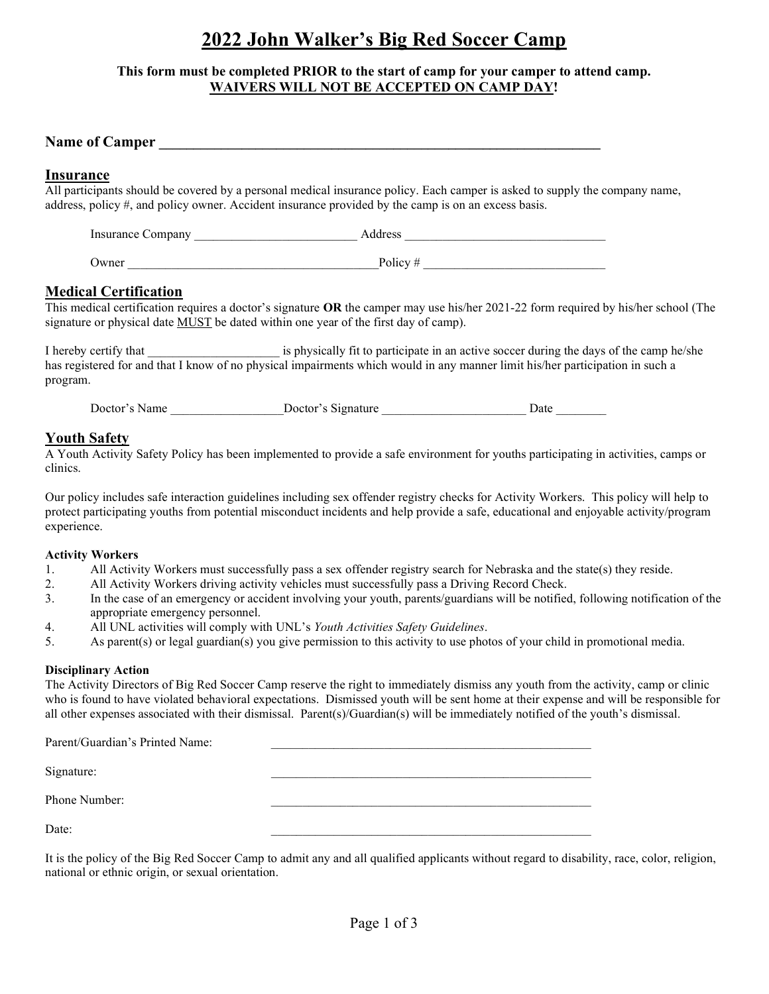# 2022 John Walker's Big Red Soccer Camp

#### This form must be completed PRIOR to the start of camp for your camper to attend camp. WAIVERS WILL NOT BE ACCEPTED ON CAMP DAY!

#### Name of Camper

#### Insurance

All participants should be covered by a personal medical insurance policy. Each camper is asked to supply the company name, address, policy #, and policy owner. Accident insurance provided by the camp is on an excess basis.

| <b>Insurance Company</b> | <b>Address</b> |
|--------------------------|----------------|
| Owner                    | Policy#        |

### Medical Certification

This medical certification requires a doctor's signature OR the camper may use his/her 2021-22 form required by his/her school (The signature or physical date MUST be dated within one year of the first day of camp).

I hereby certify that \_\_\_\_\_\_\_\_\_\_\_\_\_\_\_\_\_\_\_\_\_\_\_\_\_\_ is physically fit to participate in an active soccer during the days of the camp he/she has registered for and that I know of no physical impairments which would in any manner limit his/her participation in such a program.

| Doctor's Name | Doctor's Signature | Jate |
|---------------|--------------------|------|
|               |                    |      |

### Youth Safety

A Youth Activity Safety Policy has been implemented to provide a safe environment for youths participating in activities, camps or clinics.

Our policy includes safe interaction guidelines including sex offender registry checks for Activity Workers. This policy will help to protect participating youths from potential misconduct incidents and help provide a safe, educational and enjoyable activity/program experience.

#### Activity Workers

- 1. All Activity Workers must successfully pass a sex offender registry search for Nebraska and the state(s) they reside.
- 2. All Activity Workers driving activity vehicles must successfully pass a Driving Record Check.
- 3. In the case of an emergency or accident involving your youth, parents/guardians will be notified, following notification of the appropriate emergency personnel.
- 4. All UNL activities will comply with UNL's Youth Activities Safety Guidelines.
- 5. As parent(s) or legal guardian(s) you give permission to this activity to use photos of your child in promotional media.

#### Disciplinary Action

The Activity Directors of Big Red Soccer Camp reserve the right to immediately dismiss any youth from the activity, camp or clinic who is found to have violated behavioral expectations. Dismissed youth will be sent home at their expense and will be responsible for all other expenses associated with their dismissal. Parent(s)/Guardian(s) will be immediately notified of the youth's dismissal.

| Parent/Guardian's Printed Name: |  |
|---------------------------------|--|
| Signature:                      |  |
| Phone Number:                   |  |
| Date:                           |  |

It is the policy of the Big Red Soccer Camp to admit any and all qualified applicants without regard to disability, race, color, religion, national or ethnic origin, or sexual orientation.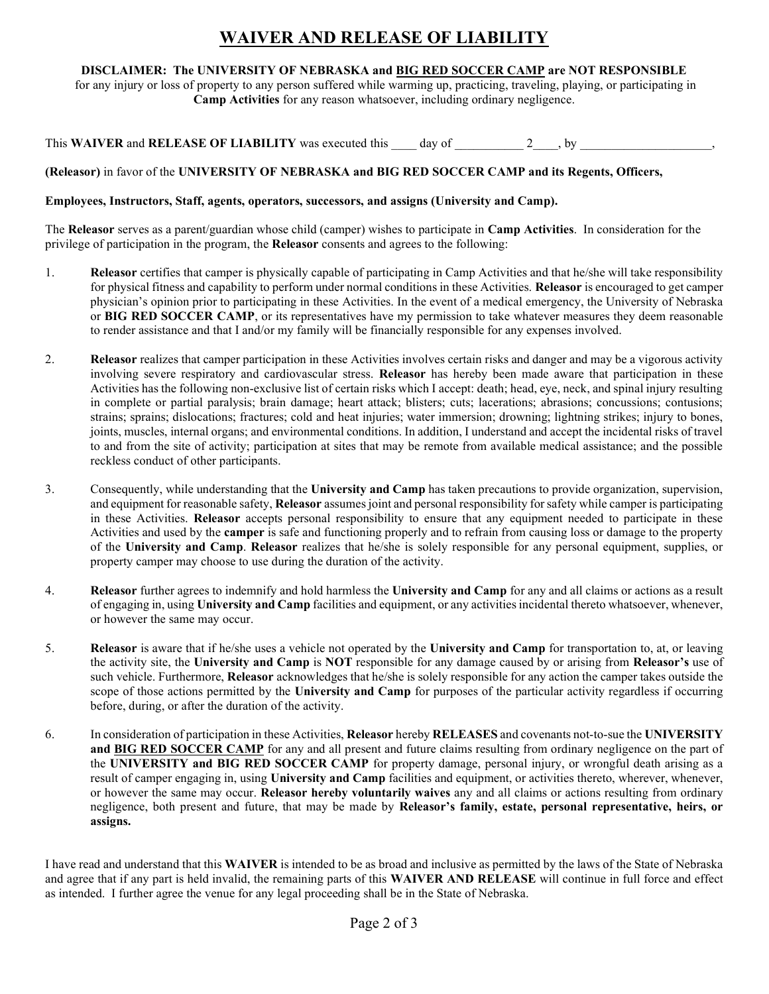## WAIVER AND RELEASE OF LIABILITY

#### DISCLAIMER: The UNIVERSITY OF NEBRASKA and BIG RED SOCCER CAMP are NOT RESPONSIBLE

for any injury or loss of property to any person suffered while warming up, practicing, traveling, playing, or participating in Camp Activities for any reason whatsoever, including ordinary negligence.

#### This WAIVER and RELEASE OF LIABILITY was executed this  $\qquad$  day of  $\qquad$  2  $\qquad$ , by

#### (Releasor) in favor of the UNIVERSITY OF NEBRASKA and BIG RED SOCCER CAMP and its Regents, Officers,

#### Employees, Instructors, Staff, agents, operators, successors, and assigns (University and Camp).

The Releasor serves as a parent/guardian whose child (camper) wishes to participate in Camp Activities. In consideration for the privilege of participation in the program, the Releasor consents and agrees to the following:

- 1. Releasor certifies that camper is physically capable of participating in Camp Activities and that he/she will take responsibility for physical fitness and capability to perform under normal conditions in these Activities. Releasor is encouraged to get camper physician's opinion prior to participating in these Activities. In the event of a medical emergency, the University of Nebraska or BIG RED SOCCER CAMP, or its representatives have my permission to take whatever measures they deem reasonable to render assistance and that I and/or my family will be financially responsible for any expenses involved.
- 2. Releasor realizes that camper participation in these Activities involves certain risks and danger and may be a vigorous activity involving severe respiratory and cardiovascular stress. Releasor has hereby been made aware that participation in these Activities has the following non-exclusive list of certain risks which I accept: death; head, eye, neck, and spinal injury resulting in complete or partial paralysis; brain damage; heart attack; blisters; cuts; lacerations; abrasions; concussions; contusions; strains; sprains; dislocations; fractures; cold and heat injuries; water immersion; drowning; lightning strikes; injury to bones, joints, muscles, internal organs; and environmental conditions. In addition, I understand and accept the incidental risks of travel to and from the site of activity; participation at sites that may be remote from available medical assistance; and the possible reckless conduct of other participants.
- 3. Consequently, while understanding that the University and Camp has taken precautions to provide organization, supervision, and equipment for reasonable safety, Releasor assumes joint and personal responsibility for safety while camper is participating in these Activities. Releasor accepts personal responsibility to ensure that any equipment needed to participate in these Activities and used by the camper is safe and functioning properly and to refrain from causing loss or damage to the property of the University and Camp. Releasor realizes that he/she is solely responsible for any personal equipment, supplies, or property camper may choose to use during the duration of the activity.
- 4. Releasor further agrees to indemnify and hold harmless the University and Camp for any and all claims or actions as a result of engaging in, using University and Camp facilities and equipment, or any activities incidental thereto whatsoever, whenever, or however the same may occur.
- 5. Releasor is aware that if he/she uses a vehicle not operated by the University and Camp for transportation to, at, or leaving the activity site, the University and Camp is NOT responsible for any damage caused by or arising from Releasor's use of such vehicle. Furthermore, Releasor acknowledges that he/she is solely responsible for any action the camper takes outside the scope of those actions permitted by the University and Camp for purposes of the particular activity regardless if occurring before, during, or after the duration of the activity.
- 6. In consideration of participation in these Activities, Releasor hereby RELEASES and covenants not-to-sue the UNIVERSITY and BIG RED SOCCER CAMP for any and all present and future claims resulting from ordinary negligence on the part of the UNIVERSITY and BIG RED SOCCER CAMP for property damage, personal injury, or wrongful death arising as a result of camper engaging in, using University and Camp facilities and equipment, or activities thereto, wherever, whenever, or however the same may occur. Releasor hereby voluntarily waives any and all claims or actions resulting from ordinary negligence, both present and future, that may be made by Releasor's family, estate, personal representative, heirs, or assigns.

I have read and understand that this WAIVER is intended to be as broad and inclusive as permitted by the laws of the State of Nebraska and agree that if any part is held invalid, the remaining parts of this WAIVER AND RELEASE will continue in full force and effect as intended. I further agree the venue for any legal proceeding shall be in the State of Nebraska.